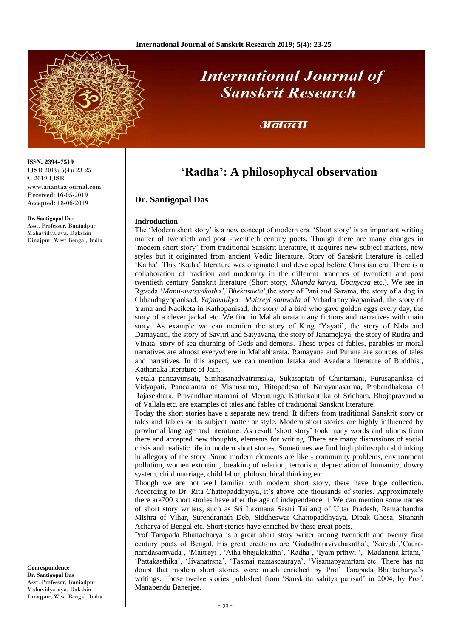

# **International Journal of Sanskrit Research**

### अनन्ता

## **'Radha': A philosophycal observation**

#### **Dr. Santigopal Das**

#### **Indroduction**

The 'Modern short story' is a new concept of modern era. 'Short story' is an important writing matter of twentieth and post -twentieth century poets. Though there are many changes in 'modern short story' from traditional Sanskrit literature, it acquires new subject matters, new styles but it originated from ancient Vedic literature. Story of Sanskrit literature is called 'Katha'. This 'Katha' literature was originated and developed before Christian era. There is a collaboration of tradition and modernity in the different branches of twentieth and post twentieth century Sanskrit literature (Short story, *Khanda kavya*, *Upanyasa* etc.). We see in Rgveda '*Manu-matsyakatha'*,'*Bhekasukta*',the story of Pani and Sarama, the story of a dog in Chhandagyopanisad, *Yajnavalkya –Maitreyi samvada* of Vrhadaranyokapanisad, the story of Yama and Naciketa in Kathopanisad, the story of a bird who gave golden eggs every day, the story of a clever jackal etc. We find in Mahabharata many fictions and narratives with main story. As example we can mention the story of King 'Yayati', the story of Nala and Damayanti, the story of Savitri and Satyavana, the story of Janamejaya, the story of Rudra and Vinata, story of sea churning of Gods and demons. These types of fables, parables or moral narratives are almost everywhere in Mahabharata. Ramayana and Purana are sources of tales and narratives. In this aspect, we can mention Jataka and Avadana literature of Buddhist, Kathanaka literature of Jain.

Vetala pancavimsati, Simhasanadvatrimsika, Sukasaptati of Chintamani, Purusapariksa of Vidyapati, Pancatantra of Visnusarma, Hitopadesa of Narayanasarma, Prabandhakosa of Rajasekhara, Pravandhacintamani of Merutunga, Kathakautuka of Sridhara, Bhojapravandha of Vallala etc. are examples of tales and fables of traditional Sanskrit literature.

Today the short stories have a separate new trend. It differs from traditional Sanskrit story or tales and fables or its subject matter or style. Modern short stories are highly influenced by provincial language and literature. As result 'short story' took many words and idioms from there and accepted new thoughts, elements for writing. There are many discussions of social crisis and realistic life in modern short stories. Sometimes we find high philosophical thinking in allegory of the story. Some modern elements are like - community problems, environment pollution, women extortion, breaking of relation, terrorism, depreciation of humanity, dowry system, child marriage, child labor, philosophical thinking etc.

Though we are not well familiar with modern short story, there have huge collection. According to Dr. Rita Chattopaddhyaya, it's above one thousands of stories. Approximately there are700 short stories have after the age of independence. 1 We can mention some names of short story writers, such as Sri Laxmana Sastri Tailang of Uttar Pradesh, Ramachandra Mishra of Vihar, Surendranath Deb, Siddheswar Chattopaddhyaya, Dipak Ghosa, Sitanath Acharya of Bengal etc. Short stories have enriched by these great poets.

Prof Tarapada Bhattacharya is a great short story writer among twentieth and twenty first century poets of Bengal. His great creations are 'Gadadharavivahakatha', 'Saivali','Cauranaradasamvada', 'Maitreyi', 'Atha bhejalakatha', 'Radha', 'Iyam prthwi ', 'Madanena krtam,' 'Pattakasthika', 'Jivanatrsna', 'Tasmai namascauraya', 'Visamapyamrtam'etc. There has no doubt that modern short stories were much enriched by Prof. Tarapada Bhattacharya's writings. These twelve stories published from 'Sanskrita sahitya parisad' in 2004, by Prof. Manabendu Banerjee.

**ISSN: 2394-7519** IJSR 2019; 5(4): 23-25 © 2019 IJSR www.anantaajournal.com Received: 16-05-2019 Accepted: 18-06-2019

#### **Dr. Santigopal Das**

Asst. Professor, Buniadpur Mahavidyalaya, Dakshin Dinajpur, West Bengal, India

**Correspondence Dr. Santigopal Das** Asst. Professor, Buniadpur Mahavidyalaya, Dakshin Dinajpur, West Bengal, India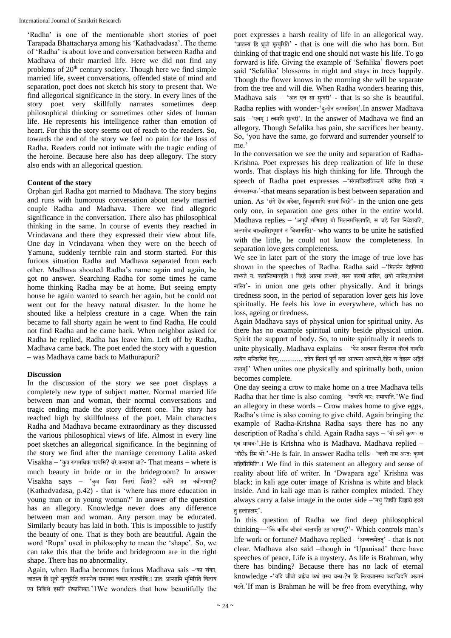'Radha' is one of the mentionable short stories of poet Tarapada Bhattacharya among his 'Kathadvadasa'. The theme of 'Radha' is about love and conversation between Radha and Madhava of their married life. Here we did not find any problems of 20<sup>th</sup> century society. Though here we find simple married life, sweet conversations, offended state of mind and separation, poet does not sketch his story to present that. We find allegorical significance in the story. In every lines of the story poet very skillfully narrates sometimes deep philosophical thinking or sometimes other sides of human life. He represents his intelligence rather than emotion of heart. For this the story seems out of reach to the readers. So, towards the end of the story we feel no pain for the loss of Radha. Readers could not intimate with the tragic ending of the heroine. Because here also has deep allegory. The story also ends with an allegorical question.

#### **Content of the story**

Orphan girl Radha got married to Madhava. The story begins and runs with humorous conversation about newly married couple Radha and Madhava. There we find allegoric significance in the conversation. There also has philosophical thinking in the same. In course of events they reached in Vrindavana and there they expressed their view about life. One day in Vrindavana when they were on the beech of Yamuna, suddenly terrible rain and storm started. For this furious situation Radha and Madhava separated from each other. Madhava shouted Radha's name again and again, he got no answer. Searching Radha for some times he came home thinking Radha may be at home. But seeing empty house he again wanted to search her again, but he could not went out for the heavy natural disaster. In the home he shouted like a helpless creature in a cage. When the rain became to fall shorty again he went to find Radha. He could not find Radha and he came back. When neighbor asked for Radha he replied, Radha has leave him. Left off by Radha, Madhava came back. The poet ended the story with a question – was Madhava came back to Mathurapuri?

#### **Discussion**

In the discussion of the story we see poet displays a completely new type of subject matter. Normal married life between man and woman, their normal conversations and tragic ending made the story different one. The story has reached high by skillfulness of the poet. Main characters Radha and Madhava became extraordinary as they discussed the various philosophical views of life. Almost in every line poet sketches an allegorical significance. In the beginning of the story we find after the marriage ceremony Lalita asked Visakha – 'कुत्र रूपमधिकं पश्यधि? वरेकन्यायां वा?- That means – where is much beauty in bride or in the bridegroom? In answer  $Visakha$  says – 'कुत्र बिद्या नितरां बिद्यते? नबीने उत नबीनायाम्? (Kathadvadasa, p.42) - that is 'where has more education in young man or in young woman?' In answer of the question has an allegory. Knowledge never does any difference between man and woman. Any person may be educated. Similarly beauty has laid in both. This is impossible to justify the beauty of one. That is they both are beautiful. Again the word 'Rupa' used in philosophy to mean the 'shape'. So, we can take this that the bride and bridegroom are in the right shape. There has no abnormality.

Again, when Radha becomes furious Madhava sais –'का शंका, जातस्य हि ध्रुवो मृत्युरिति जानन्नेव रामायणं चकार वाल्मीकिःI प्रातः प्राप्सामि भूमिरिति विज़ाय एव निशिथे हसति शेफालिका.'1We wonders that how beautifully the

poet expresses a harsh reality of life in an allegorical way. 'जातस्य हि ध्रवो मृत्युरिति' - that is one will die who has born. But thinking of that tragic end one should not waste his life. To go forward is life. Giving the example of 'Sefalika' flowers poet said 'Sefalika' blossoms in night and stays in trees happily. Though the flower knows in the morning she will be separate from the tree and will die. When Radha wonders hearing this, Madhava sais – 'अत एव सा सुन्दरी' - that is so she is beautiful. Radha replies with wonder-'दुःखेन रूपमाहितम्'.In answer Madhava sais -'एवम् I त्वमपि सुन्दरी'. In the answer of Madhava we find an allegory. Though Sefalika has pain, she sacrifices her beauty. So, 'you have the same, go forward and surrender yourself to me.'

In the conversation we see the unity and separation of Radha-Krishna. Poet expresses his deep realization of life in these words. That displays his high thinking for life. Through the speech of Radha poet expresses –'संगमविरहविकल्पे वरमिह विरहो न िंगमस्तस्यािः'-that means separation is best between separation and union. As 'संगे सॆव यदेका, त्रिभुवनमपि तन्मयं विरहे'- in the union one gets only one, in separation one gets other in the entire world. Madhava replies – 'अपूर्वं भणितम् यो मिलनमभिलषति, स जडे चित्तं निवेशयति, अल्पमेव वाज्ञ्छति भिमानं न विजानाति '- who wants to be unite he satisfied with the little, he could not know the completeness. In separation love gets completeness.

We see in later part of the story the image of true love has shown in the speeches of Radha. Radha said –'मिलनेन देहपिण्डो लभ्यते यः क्लान्तिमावहति I विरहे आत्मा लभ्यते, यस्य क्लमो नास्ति, क्षयो नास्ति,वार्धक्यं िाधस्त'- in union one gets other physically. And it brings tiredness soon, in the period of separation lover gets his love spiritually. He feels his love in everywhere, which has no loss, ageing or tiredness.

Again Madhava says of physical union for spiritual unity. As there has no example spiritual unity beside physical union. Spirit the support of body. So, to unite spiritually it needs to unite physically. Madhava explains – 'येन आत्मना मिलनस्य गॊरवं गायसि तस्यॆव मन्दिरमिदं देहम्............. तदेव मिलनं पूर्णं यदा आत्मना आत्मनो,देहेन च देहस्य अद्वॆतं जातमI्' When unites one physically and spiritually both, union becomes complete.

One day seeing a crow to make home on a tree Madhava tells Radha that her time is also coming -'तवापि वारः समायाति.'We find an allegory in these words – Crow makes home to give eggs, Radha's time is also coming to give child. Again bringing the example of Radha-Krishna Radha says there has no any description of Radha's child. Again Radha says - 'यो sसॊ कृष्णः स एव माधवः'.He is Krishna who is Madhava. Madhava replied -'गॊरोs स्मि भोः'-He is fair. In answer Radha tells –'कलॊ नाम अन्तः कृष्णं वधिगॊधरधमधत'.1 We find in this statement an allegory and sense of reality about life of writer. In 'Dwapara age' Krishna was black; in kali age outer image of Krishna is white and black inside. And in kali age man is rather complex minded. They always carry a false image in the outer side –'मधु तिष्ठति जिह्वाग्रे हृदये त हलाहलम $^{\prime}$ .

In this question of Radha we find deep philosophical thinking—'किं कर्मेव जीवनं चालयति उत भाग्यम?'- Which controls man's life work or fortune? Madhava replied –'अव्यक्तमेतत' ् - that is not clear. Madhava also said –though in 'Upanisad' there have speeches of peace, Life is a mystery. As life is Brahman, why there has binding? Because there has no lack of eternal knowledge -'यदि जीवो व्रह्मॆव कथं तस्य वन्धः?न हि नित्यज़ानस्य कदाचिदपि अज़ानं घटते.'If man is Brahman he will be free from everything, why